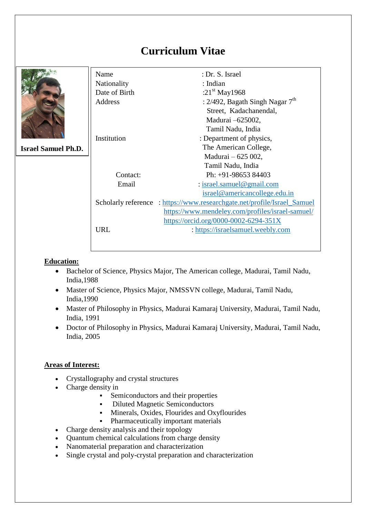# **Curriculum Vitae**

|                            | Name          | : Dr. S. Israel                                                          |
|----------------------------|---------------|--------------------------------------------------------------------------|
|                            | Nationality   | : Indian                                                                 |
|                            | Date of Birth | : $21^{st}$ May1968                                                      |
|                            | Address       | : 2/492, Bagath Singh Nagar $7th$                                        |
|                            |               | Street, Kadachanendal,                                                   |
|                            |               | Madurai -625002,                                                         |
|                            |               | Tamil Nadu, India                                                        |
|                            | Institution   | : Department of physics,                                                 |
| <b>Israel Samuel Ph.D.</b> |               | The American College,                                                    |
|                            |               | Madurai - 625 002,                                                       |
|                            |               | Tamil Nadu, India                                                        |
|                            | Contact:      | Ph: +91-98653 84403                                                      |
|                            | Email         | $:$ israel.samuel@gmail.com                                              |
|                            |               | israel@americancollege.edu.in                                            |
|                            |               | Scholarly reference : https://www.researchgate.net/profile/Israel_Samuel |
|                            |               | https://www.mendeley.com/profiles/israel-samuel/                         |
|                            |               | https://orcid.org/0000-0002-6294-351X                                    |
|                            | <b>URL</b>    | : https://israelsamuel.weebly.com                                        |
|                            |               |                                                                          |

## **Education:**

- Bachelor of Science, Physics Major, The American college, Madurai, Tamil Nadu, India,1988
- Master of Science, Physics Major, NMSSVN college, Madurai, Tamil Nadu, India,1990
- Master of Philosophy in Physics, Madurai Kamaraj University, Madurai, Tamil Nadu, India, 1991
- Doctor of Philosophy in Physics, Madurai Kamaraj University, Madurai, Tamil Nadu, India, 2005

### **Areas of Interest:**

- Crystallography and crystal structures
- Charge density in
	- Semiconductors and their properties
	- Diluted Magnetic Semiconductors
	- Minerals, Oxides, Flourides and Oxyflourides
	- Pharmaceutically important materials
- Charge density analysis and their topology
- Quantum chemical calculations from charge density
- Nanomaterial preparation and characterization
- Single crystal and poly-crystal preparation and characterization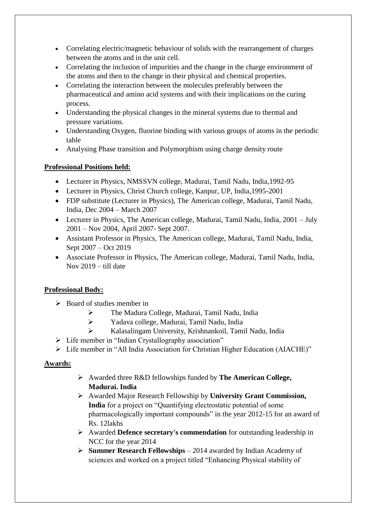- Correlating electric/magnetic behaviour of solids with the rearrangement of charges between the atoms and in the unit cell.
- Correlating the inclusion of impurities and the change in the charge environment of the atoms and then to the change in their physical and chemical properties.
- Correlating the interaction between the molecules preferably between the pharmaceutical and amino acid systems and with their implications on the curing process.
- Understanding the physical changes in the mineral systems due to thermal and pressure variations.
- Understanding Oxygen, fluorine binding with various groups of atoms in the periodic table
- Analysing Phase transition and Polymorphism using charge density route

## **Professional Positions held:**

- Lecturer in Physics, NMSSVN college, Madurai, Tamil Nadu, India,1992-95
- Lecturer in Physics, Christ Church college, Kanpur, UP, India,1995-2001
- FDP substitute (Lecturer in Physics), The American college, Madurai, Tamil Nadu, India, Dec 2004 – March 2007
- Lecturer in Physics, The American college, Madurai, Tamil Nadu, India, 2001 July 2001 – Nov 2004, April 2007- Sept 2007.
- Assistant Professor in Physics, The American college, Madurai, Tamil Nadu, India, Sept 2007 – Oct 2019
- Associate Professor in Physics, The American college, Madurai, Tamil Nadu, India, Nov 2019 – till date

### **Professional Body:**

- $\triangleright$  Board of studies member in
	- The Madura College, Madurai, Tamil Nadu, India
	- Yadava college, Madurai, Tamil Nadu, India
	- Kalasalingam University, Krishnankoil, Tamil Nadu, India
- $\triangleright$  Life member in "Indian Crystallography association"
- Life member in "All India Association for Christian Higher Education (AIACHE)"

### **Awards:**

- Awarded three R&D fellowships funded by **The American College, Madurai. India**
- Awarded Major Research Fellowship by **University Grant Commission, India** for a project on "Quantifying electrostatic potential of some pharmacologically important compounds" in the year 2012-15 for an award of Rs. 12lakhs
- Awarded **Defence secretary's commendation** for outstanding leadership in NCC for the year 2014
- **Summer Research Fellowships** 2014 awarded by Indian Academy of sciences and worked on a project titled "Enhancing Physical stability of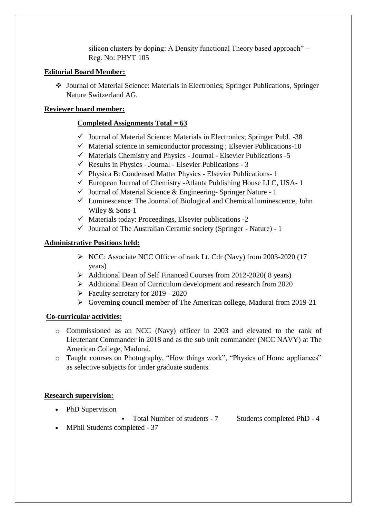silicon clusters by doping: A Density functional Theory based approach" – Reg. No: PHYT 105

### **Editorial Board Member:**

 Journal of Material Science: Materials in Electronics; Springer Publications, Springer Nature Switzerland AG.

### **Reviewer board member:**

### **Completed Assignments Total = 63**

- $\checkmark$  Journal of Material Science: Materials in Electronics; Springer Publ. -38
- $\checkmark$  Material science in semiconductor processing ; Elsevier Publications-10
- $\checkmark$  Materials Chemistry and Physics Journal Elsevier Publications -5
- $\checkmark$  Results in Physics Journal Elsevier Publications 3
- $\checkmark$  Physica B: Condensed Matter Physics Elsevier Publications- 1
- $\checkmark$  European Journal of Chemistry -Atlanta Publishing House LLC, USA- 1
- $\checkmark$  Journal of Material Science & Engineering-Springer Nature 1
- $\checkmark$  Luminescence: The Journal of Biological and Chemical luminescence, John Wiley & Sons-1
- $\checkmark$  Materials today: Proceedings, Elsevier publications -2
- $\checkmark$  Journal of The Australian Ceramic society (Springer Nature) 1

### **Administrative Positions held:**

- ▶ NCC: Associate NCC Officer of rank Lt. Cdr (Navy) from 2003-2020 (17 years)
- Additional Dean of Self Financed Courses from 2012-2020( 8 years)
- Additional Dean of Curriculum development and research from 2020
- $\triangleright$  Faculty secretary for 2019 2020
- Governing council member of The American college, Madurai from 2019-21

### **Co-curricular activities:**

- o Commissioned as an NCC (Navy) officer in 2003 and elevated to the rank of Lieutenant Commander in 2018 and as the sub unit commander (NCC NAVY) at The American College, Madurai.
- o Taught courses on Photography, "How things work", "Physics of Home appliances" as selective subjects for under graduate students.

### **Research supervision:**

- PhD Supervision
	- Total Number of students 7 Students completed PhD 4
- MPhil Students completed 37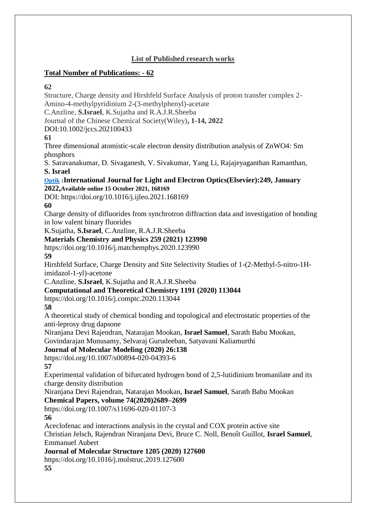## **List of Published research works**

### **Total Number of Publications: - 62**

### **62**

Structure, Charge density and Hirshfeld Surface Analysis of proton transfer complex 2- Amino-4-methylpyridinium 2-(3-methylphenyl)-acetate C.Anzline, **S.Israel**, K.Sujatha and R.A.J.R.Sheeba Journal of the Chinese Chemical Society(Wiley)**, 1-14, 2022** DOI:10.1002/jccs.202100433 **61** Three dimensional atomistic-scale electron density distribution analysis of ZnWO4: Sm phosphors S. Saravanakumar, D. Sivaganesh, V. Sivakumar, Yang Li, Rajajeyaganthan Ramanthan, **S. Israel [Optik](https://www.sciencedirect.com/science/journal/00304026) :International Journal for Light and Electron Optics(Elsevier):249, January 2022,Available online 15 October 2021, 168169** DOI: https://doi.org/10.1016/j.ijleo.2021.168169 **60** Charge density of difluorides from synchrotron diffraction data and investigation of bonding in low valent binary fluorides K.Sujatha, **S.Israel**, C.Anzline, R.A.J.R.Sheeba **Materials Chemistry and Physics 259 (2021) 123990** https://doi.org/10.1016/j.matchemphys.2020.123990 **59** Hirshfeld Surface, Charge Density and Site Selectivity Studies of 1-(2-Methyl-5-nitro-1Himidazol-1-yl)-acetone C.Anzline, **S.Israel**, K.Sujatha and R.A.J.R.Sheeba **Computational and Theoretical Chemistry 1191 (2020) 113044** https://doi.org/10.1016/j.comptc.2020.113044 **58** A theoretical study of chemical bonding and topological and electrostatic properties of the anti-leprosy drug dapsone Niranjana Devi Rajendran, Natarajan Mookan, **Israel Samuel**, Sarath Babu Mookan, Govindarajan Munusamy, Selvaraj Gurudeeban, Satyavani Kaliamurthi **Journal of Molecular Modeling (2020) 26:138** https://doi.org/10.1007/s00894-020-04393-6 **57** Experimental validation of bifurcated hydrogen bond of 2,5-lutidinium bromanilate and its charge density distribution Niranjana Devi Rajendran, Natarajan Mookan, **Israel Samuel**, Sarath Babu Mookan **Chemical Papers, volume 74(2020)2689–2699** https://doi.org/10.1007/s11696-020-01107-3 **56** Aceclofenac and interactions analysis in the crystal and COX protein active site Christian Jelsch, Rajendran Niranjana Devi, Bruce C. Noll, Benoît Guillot, **Israel Samuel**, Emmanuel Aubert **Journal of Molecular Structure 1205 (2020) 127600** https://doi.org/10.1016/j.molstruc.2019.127600 **55**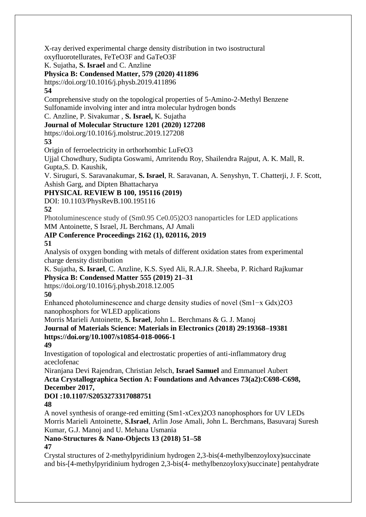X-ray derived experimental charge density distribution in two isostructural oxyfluorotellurates, FeTeO3F and GaTeO3F

K. Sujatha, **S. Israel** and C. Anzline

## **Physica B: Condensed Matter, 579 (2020) 411896**

https://doi.org/10.1016/j.physb.2019.411896

### **54**

Comprehensive study on the topological properties of 5-Amino-2-Methyl Benzene Sulfonamide involving inter and intra molecular hydrogen bonds

C. Anzline, P. Sivakumar , **S. Israel,** K. Sujatha

## **Journal of Molecular Structure 1201 (2020) 127208**

https://doi.org/10.1016/j.molstruc.2019.127208

**53**

Origin of ferroelectricity in orthorhombic LuFeO3

Ujjal Chowdhury, Sudipta Goswami, Amritendu Roy, Shailendra Rajput, A. K. Mall, R. Gupta,S. D. Kaushik,

V. Siruguri, S. Saravanakumar, **S. Israel**, R. Saravanan, A. Senyshyn, T. Chatterji, J. F. Scott, Ashish Garg, and Dipten Bhattacharya

**PHYSICAL REVIEW B 100, 195116 (2019)**

DOI: 10.1103/PhysRevB.100.195116

**52**

Photoluminescence study of (Sm0.95 Ce0.05)2O3 nanoparticles for LED applications MM Antoinette, S Israel, JL Berchmans, AJ Amali

# **AIP Conference Proceedings 2162 (1), 020116, 2019**

**51**

Analysis of oxygen bonding with metals of different oxidation states from experimental charge density distribution

K. Sujatha, **S. Israel**, C. Anzline, K.S. Syed Ali, R.A.J.R. Sheeba, P. Richard Rajkumar **Physica B: Condensed Matter 555 (2019) 21–31**

https://doi.org/10.1016/j.physb.2018.12.005

**50**

Enhanced photoluminescence and charge density studies of novel (Sm1−x Gdx)2O3 nanophosphors for WLED applications

Morris Marieli Antoinette, **S. Israel**, John L. Berchmans & G. J. Manoj

## **Journal of Materials Science: Materials in Electronics (2018) 29:19368–19381 https://doi.org/10.1007/s10854-018-0066-1**

**49**

Investigation of topological and electrostatic properties of anti-inflammatory drug aceclofenac

Niranjana Devi Rajendran, Christian Jelsch, **Israel Samuel** and Emmanuel Aubert **Acta Crystallographica Section A: Foundations and Advances 73(a2):C698-C698, December 2017,**

# **DOI :10.1107/S2053273317088751**

**48**

A novel synthesis of orange-red emitting (Sm1-xCex)2O3 nanophosphors for UV LEDs Morris Marieli Antoinette, **S.Israel**, Arlin Jose Amali, John L. Berchmans, Basuvaraj Suresh Kumar, G.J. Manoj and U. Mehana Usmania

#### **Nano-Structures & Nano-Objects 13 (2018) 51–58 47**

Crystal structures of 2-methylpyridinium hydrogen 2,3-bis(4-methylbenzoyloxy)succinate and bis-[4-methylpyridinium hydrogen 2,3-bis(4- methylbenzoyloxy)succinate] pentahydrate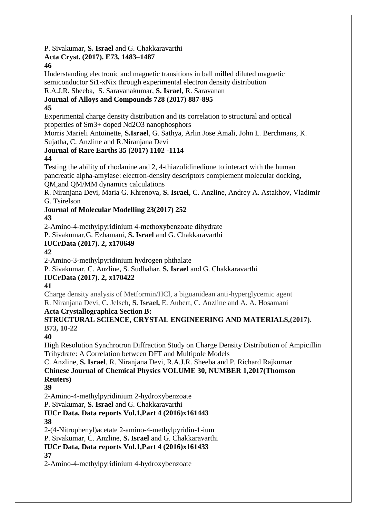P. Sivakumar, **S. Israel** and G. Chakkaravarthi

### **Acta Cryst. (2017). E73, 1483–1487**

### **46**

Understanding electronic and magnetic transitions in ball milled diluted magnetic semiconductor Si1-xNix through experimental electron density distribution

R.A.J.R. Sheeba, S. Saravanakumar, **S. Israel**, R. Saravanan

**Journal of Alloys and Compounds 728 (2017) 887-895**

# **45**

Experimental charge density distribution and its correlation to structural and optical properties of Sm3+ doped Nd2O3 nanophosphors

Morris Marieli Antoinette, **S.Israel**, G. Sathya, Arlin Jose Amali, John L. Berchmans, K. Sujatha, C. Anzline and R.Niranjana Devi

# **Journal of Rare Earths 35 (2017) 1102 -1114**

## **44**

Testing the ability of rhodanine and 2, 4-thiazolidinedione to interact with the human pancreatic alpha-amylase: electron-density descriptors complement molecular docking, QM,and QM/MM dynamics calculations

R. Niranjana Devi, Maria G. Khrenova, **S. Israel**, C. Anzline, Andrey A. Astakhov, Vladimir G. Tsirelson

**Journal of Molecular Modelling 23(2017) 252**

# **43**

2-Amino-4-methylpyridinium 4-methoxybenzoate dihydrate

P. Sivakumar,G. Ezhamani, **S. Israel** and G. Chakkaravarthi

## **IUCrData (2017). 2, x170649**

# **42**

2-Amino-3-methylpyridinium hydrogen phthalate

P. Sivakumar, C. Anzline, S. Sudhahar, **S. Israel** and G. Chakkaravarthi

# **IUCrData (2017). 2, x170422**

# **41**

Charge density analysis of Metformin/HCl, a biguanidean anti-hyperglycemic agent R. Niranjana Devi, C. Jelsch, **S. Israel,** E. Aubert, C. Anzline and A. A. Hosamani

### **Acta Crystallographica Section B:**

### **STRUCTURAL SCIENCE, CRYSTAL ENGINEERING AND MATERIALS,(2017). B73, 10-22**

# **40**

High Resolution Synchrotron Diffraction Study on Charge Density Distribution of Ampicillin Trihydrate: A Correlation between DFT and Multipole Models

C. Anzline, **S. Israel**, R. Niranjana Devi, R.A.J.R. Sheeba and P. Richard Rajkumar **Chinese Journal of Chemical Physics VOLUME 30, NUMBER 1,2017(Thomson Reuters)**

# **39**

2-Amino-4-methylpyridinium 2-hydroxybenzoate

P. Sivakumar, **S. Israel** and G. Chakkaravarthi

#### **IUCr Data, Data reports Vol.1,Part 4 (2016)x161443 38**

2-(4-Nitrophenyl)acetate 2-amino-4-methylpyridin-1-ium

P. Sivakumar, C. Anzline, **S. Israel** and G. Chakkaravarthi

# **IUCr Data, Data reports Vol.1,Part 4 (2016)x161433**

**37**

2-Amino-4-methylpyridinium 4-hydroxybenzoate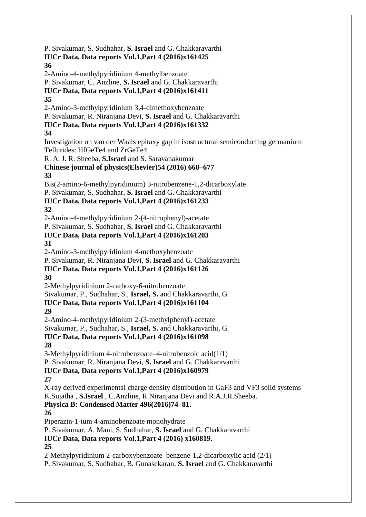P. Sivakumar, S. Sudhahar, **S. Israel** and G. Chakkaravarthi **IUCr Data, Data reports Vol.1,Part 4 (2016)x161425 36** 2-Amino-4-methylpyridinium 4-methylbenzoate P. Sivakumar, C. Anzline, **S. Israel** and G. Chakkaravarthi **IUCr Data, Data reports Vol.1,Part 4 (2016)x161411 35** 2-Amino-3-methylpyridinium 3,4-dimethoxybenzoate P. Sivakumar, R. Niranjana Devi, **S. Israel** and G. Chakkaravarthi **IUCr Data, Data reports Vol.1,Part 4 (2016)x161332 34** Investigation on van der Waals epitaxy gap in isostructural semiconducting germanium Tellurides: HfGeTe4 and ZrGeTe4 R. A. J. R. Sheeba, **S.Israel** and S. Saravanakumar **Chinese journal of physics(Elsevier)54 (2016) 668–677 33** Bis(2-amino-6-methylpyridinium) 3-nitrobenzene-1,2-dicarboxylate P. Sivakumar, S. Sudhahar, **S. Israel** and G. Chakkaravarthi **IUCr Data, Data reports Vol.1,Part 4 (2016)x161233 32** 2-Amino-4-methylpyridinium 2-(4-nitrophenyl)-acetate P. Sivakumar, S. Sudhahar, **S. Israel** and G. Chakkaravarthi **IUCr Data, Data reports Vol.1,Part 4 (2016)x161203 31** 2-Amino-3-methylpyridinium 4-methoxybenzoate P. Sivakumar, R. Niranjana Devi, **S. Israel** and G. Chakkaravarthi **IUCr Data, Data reports Vol.1,Part 4 (2016)x161126 30** 2-Methylpyridinium 2-carboxy-6-nitrobenzoate Sivakumar, P., Sudhahar, S., **Israel, S.** and Chakkaravarthi, G. **IUCr Data, Data reports Vol.1,Part 4 (2016)x161104 29** 2-Amino-4-methylpyridinium 2-(3-methylphenyl)-acetate Sivakumar, P., Sudhahar, S., **Israel, S.** and Chakkaravarthi, G. **IUCr Data, Data reports Vol.1,Part 4 (2016)x161098 28** 3-Methylpyridinium 4-nitrobenzoate–4-nitrobenzoic acid(1/1) P. Sivakumar, R. Niranjana Devi, **S. Israel** and G. Chakkaravarthi **IUCr Data, Data reports Vol.1,Part 4 (2016)x160979 27** X-ray derived experimental charge density distribution in GaF3 and VF3 solid systems K.Sujatha , **S.Israel** , C.Anzline, R.Niranjana Devi and R.A.J.R.Sheeba. **Physica B: Condensed Matter 496(2016)74–81. 26** Piperazin-1-ium 4-aminobenzoate monohydrate P. Sivakumar, A. Mani, S. Sudhahar, **S. Israel** and G. Chakkaravarthi **IUCr Data, Data reports Vol.1,Part 4 (2016) x160819. 25** 2-Methylpyridinium 2-carboxybenzoate–benzene-1,2-dicarboxylic acid (2/1) P. Sivakumar, S. Sudhahar, B. Gunasekaran, **S. Israel** and G. Chakkaravarthi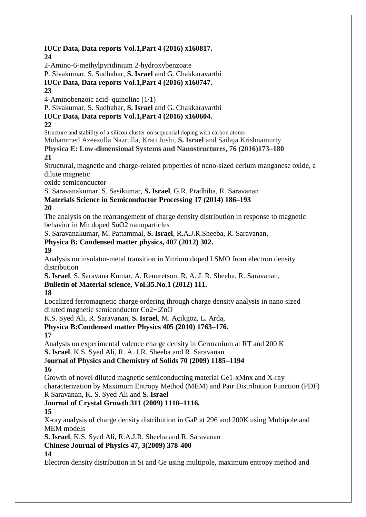### **IUCr Data, Data reports Vol.1,Part 4 (2016) x160817. 24**

2-Amino-6-methylpyridinium 2-hydroxybenzoate

P. Sivakumar, S. Sudhahar, **S. Israel** and G. Chakkaravarthi

**IUCr Data, Data reports Vol.1,Part 4 (2016) x160747.**

### **23**

4-Aminobenzoic acid–quinoline (1/1)

P. Sivakumar, S. Sudhahar, **S. Israel** and G. Chakkaravarthi

## **IUCr Data, Data reports Vol.1,Part 4 (2016) x160604.**

### **22**

Structure and stability of a silicon cluster on sequential doping with carbon atoms

Mohammed Azeezulla Nazrulla, Krati Joshi, **S. Israel** and Sailaja Krishnamurty

**Physica E: Low-dimensional Systems and Nanostructures, 76 (2016)173–180 21**

Structural, magnetic and charge-related properties of nano-sized cerium manganese oxide, a dilute magnetic

oxide semiconductor

S. Saravanakumar, S. Sasikumar, **S. Israel**, G.R. Pradhiba, R. Saravanan

## **Materials Science in Semiconductor Processing 17 (2014) 186–193**

### **20**

The analysis on the rearrangement of charge density distribution in response to magnetic behavior in Mn doped SnO2 nanoparticles

S. Saravanakumar, M. Pattammal, **S. Israel**, R.A.J.R.Sheeba, R. Saravanan,

### **Physica B: Condensed matter physics, 407 (2012) 302.**

### **19**

Analysis on insulator-metal transition in Yttrium doped LSMO from electron density distribution

**S. Israel**, S. Saravana Kumar, A. Renuretson, R. A. J. R. Sheeba, R. Saravanan,

### **Bulletin of Material science, Vol.35.No.1 (2012) 111.**

# **18**

Localized ferromagnetic charge ordering through charge density analysis in nano sized diluted magnetic semiconductor Co2+:ZnO

K.S. Syed Ali, R. Saravanan, **S. Israel**, M. Açikgöz, L. Arda,

# **Physica B:Condensed matter Physics 405 (2010) 1763–176.**

# **17**

Analysis on experimental valence charge density in Germanium at RT and 200 K

**S. Israel**, K.S. Syed Ali, R. A. J.R. Sheeba and R. Saravanan

J**ournal of Physics and Chemistry of Solids 70 (2009) 1185–1194**

# **16**

Growth of novel diluted magnetic semiconducting material Ge1-xMnx and X-ray characterization by Maximum Entropy Method (MEM) and Pair Distribution Function (PDF) R Saravanan, K. S. Syed Ali and **S. Israel**

# **Journal of Crystal Growth 311 (2009) 1110–1116.**

# **15**

X-ray analysis of charge density distribution in GaP at 296 and 200K using Multipole and MEM models

**S. Israel**, K.S. Syed Ali, R.A.J.R. Sheeba and R. Saravanan

**Chinese Journal of Physics 47, 3(2009) 378-400**

# **14**

Electron density distribution in Si and Ge using multipole, maximum entropy method and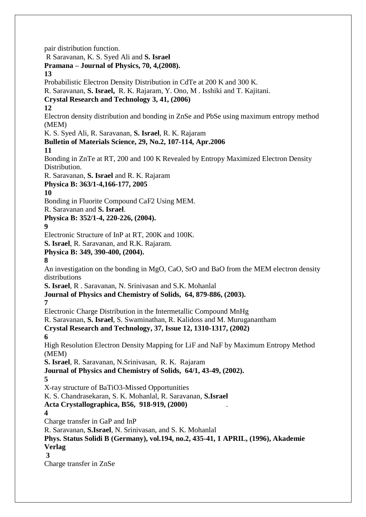pair distribution function. R Saravanan, K. S. Syed Ali and **S. Israel Pramana – Journal of Physics, 70, 4,(2008). 13** Probabilistic Electron Density Distribution in CdTe at 200 K and 300 K. R. Saravanan, **S. Israel,** R. K. Rajaram, Y. Ono, M . Isshiki and T. Kajitani. **Crystal Research and Technology 3, 41, (2006) 12** Electron density distribution and bonding in ZnSe and PbSe using maximum entropy method (MEM) K. S. Syed Ali, R. Saravanan, **S. Israel**, R. K. Rajaram **Bulletin of Materials Science, 29, No.2, 107-114, Apr.2006 11** Bonding in ZnTe at RT, 200 and 100 K Revealed by Entropy Maximized Electron Density Distribution. R. Saravanan, **S. Israel** and R. K. Rajaram **Physica B: 363/1-4,166-177, 2005 10** Bonding in Fluorite Compound CaF2 Using MEM. R. Saravanan and **S. Israel**. **Physica B: 352/1-4, 220-226, (2004). 9** Electronic Structure of InP at RT, 200K and 100K. **S. Israel**, R. Saravanan, and R.K. Rajaram. **Physica B: 349, 390-400, (2004). 8** An investigation on the bonding in MgO, CaO, SrO and BaO from the MEM electron density distributions **S. Israel**, R . Saravanan, N. Srinivasan and S.K. Mohanlal **Journal of Physics and Chemistry of Solids, 64, 879-886, (2003). 7** Electronic Charge Distribution in the Intermetallic Compound MnHg R. Saravanan, **S. Israel**, S. Swaminathan, R. Kalidoss and M. Muruganantham **Crystal Research and Technology, 37, Issue 12, 1310-1317, (2002) 6** High Resolution Electron Density Mapping for LiF and NaF by Maximum Entropy Method (MEM) **S. Israel**, R. Saravanan, N.Srinivasan, R. K. Rajaram **Journal of Physics and Chemistry of Solids, 64/1, 43-49, (2002). 5** X-ray structure of BaTiO3-Missed Opportunities K. S. Chandrasekaran, S. K. Mohanlal, R. Saravanan, **S.Israel Acta Crystallographica, B56, 918-919, (2000)** . **4** Charge transfer in GaP and InP R. Saravanan, **S.Israel**, N. Srinivasan, and S. K. Mohanlal **Phys. Status Solidi B (Germany), vol.194, no.2, 435-41, 1 APRIL, (1996), Akademie Verlag 3** Charge transfer in ZnSe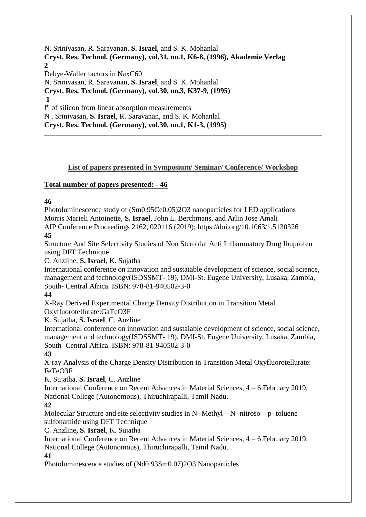N. Srinivasan, R. Saravanan, **S. Israel**, and S. K. Mohanlal **Cryst. Res. Technol. (Germany), vol.31, no.1, K6-8, (1996), Akademie Verlag 2** Debye-Waller factors in NaxC60 N. Srinivasan, R. Saravanan, **S. Israel**, and S. K. Mohanlal **Cryst. Res. Technol. (Germany), vol.30, no.3, K37-9, (1995) 1** f" of silicon from linear absorption measurements N . Srinivasan, **S. Israel**, R. Saravanan, and S. K. Mohanlal **Cryst. Res. Technol. (Germany), vol.30, no.1, K1-3, (1995)**

### **List of papers presented in Symposium/ Seminar/ Conference/ Workshop**

### **Total number of papers presented: - 46**

#### **46**

Photoluminescence study of (Sm0.95Ce0.05)2O3 nanoparticles for LED applications Morris Marieli Antoinette, **S. Israel**, John L. Berchmans, and Arlin Jose Amali AIP Conference Proceedings 2162, 020116 (2019); https://doi.org/10.1063/1.5130326

**45**

Structure And Site Selectivity Studies of Non Steroidal Anti Inflammatory Drug Ibuprofen using DFT Technique

C. Anzline, **S. Israel**, K. Sujatha

International conference on innovation and sustaiable development of science, social science, management and technology(ISDSSMT- 19), DMI-St. Eugene University, Lusaka, Zambia, South- Central Africa. ISBN: 978-81-940502-3-0

### **44**

X-Ray Derived Experimental Charge Density Distribution in Transition Metal Oxyfluorotellurate:GaTeO3F

K. Sujatha, **S. Israel**, C. Anzline

International conference on innovation and sustaiable development of science, social science, management and technology(ISDSSMT- 19), DMI-St. Eugene University, Lusaka, Zambia, South- Central Africa. ISBN: 978-81-940502-3-0

### **43**

X-ray Analysis of the Charge Density Distribution in Transition Metal Oxyfluorotellurate: FeTeO3F

K. Sujatha, **S. Israel**, C. Anzline

International Conference on Recent Advances in Material Sciences, 4 – 6 February 2019, National College (Autonomous), Thiruchirapalli, Tamil Nadu.

**42**

Molecular Structure and site selectivity studies in N- Methyl  $-N$ - nitroso – p- toluene sulfonamide using DFT Technique

C. Anzline**, S. Israel**, K. Sujatha

International Conference on Recent Advances in Material Sciences, 4 – 6 February 2019, National College (Autonomous), Thiruchirapalli, Tamil Nadu.

### **41**

Photoluminescence studies of (Nd0.93Sm0.07)2O3 Nanoparticles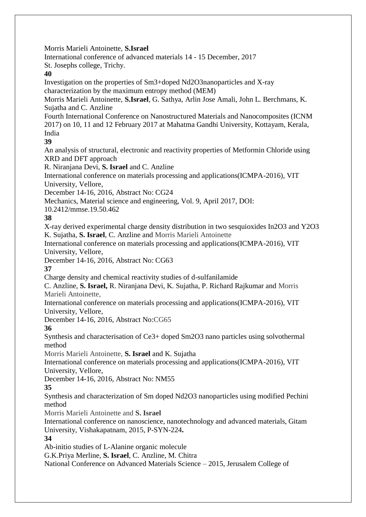Morris Marieli Antoinette, **S.Israel**

International conference of advanced materials 14 - 15 December, 2017

St. Josephs college, Trichy.

**40**

Investigation on the properties of Sm3+doped Nd2O3nanoparticles and X-ray characterization by the maximum entropy method (MEM)

Morris Marieli Antoinette, **S.Israel**, G. Sathya, Arlin Jose Amali, John L. Berchmans, K. Sujatha and C. Anzline

Fourth International Conference on Nanostructured Materials and Nanocomposites (ICNM 2017) on 10, 11 and 12 February 2017 at Mahatma Gandhi University, Kottayam, Kerala, India

**39**

An analysis of structural, electronic and reactivity properties of Metformin Chloride using XRD and DFT approach

R. Niranjana Devi, **S. Israel** and C. Anzline

International conference on materials processing and applications(ICMPA-2016), VIT University, Vellore,

December 14-16, 2016, Abstract No: CG24

Mechanics, Material science and engineering, Vol. 9, April 2017, DOI:

10.2412/mmse.19.50.462

**38**

X-ray derived experimental charge density distribution in two sesquioxides In2O3 and Y2O3 K. Sujatha, **S. Israel**, C. Anzline and Morris Marieli Antoinette

International conference on materials processing and applications(ICMPA-2016), VIT University, Vellore,

December 14-16, 2016, Abstract No: CG63

**37**

Charge density and chemical reactivity studies of d-sulfanilamide

C. Anzline, **S. Israel,** R. Niranjana Devi, K. Sujatha, P. Richard Rajkumar and Morris Marieli Antoinette,

International conference on materials processing and applications(ICMPA-2016), VIT University, Vellore,

December 14-16, 2016, Abstract No:CG65

**36**

Synthesis and characterisation of Ce3+ doped Sm2O3 nano particles using solvothermal method

Morris Marieli Antoinette, **S. Israel** and K. Sujatha

International conference on materials processing and applications(ICMPA-2016), VIT University, Vellore,

December 14-16, 2016, Abstract No: NM55

**35**

Synthesis and characterization of Sm doped Nd2O3 nanoparticles using modified Pechini method

Morris Marieli Antoinette and **S. Israel**

International conference on nanoscience, nanotechnology and advanced materials, Gitam University, Vishakapatnam, 2015, P-SYN-224**.**

**34**

Ab-initio studies of L-Alanine organic molecule

G.K.Priya Merline, **S. Israel**, C. Anzline, M. Chitra

National Conference on Advanced Materials Science – 2015, Jerusalem College of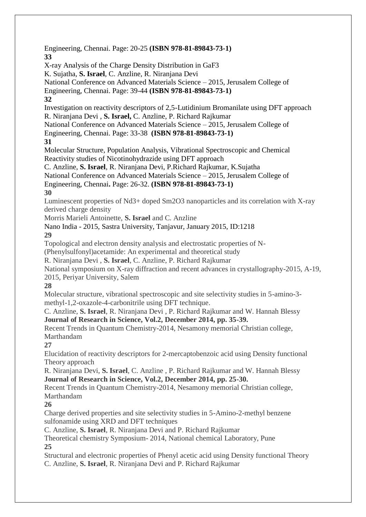Engineering, Chennai. Page: 20-25 **(ISBN 978-81-89843-73-1) 33** X-ray Analysis of the Charge Density Distribution in GaF3 K. Sujatha, **S. Israel**, C. Anzline, R. Niranjana Devi National Conference on Advanced Materials Science – 2015, Jerusalem College of Engineering, Chennai. Page: 39-44 **(ISBN 978-81-89843-73-1) 32** Investigation on reactivity descriptors of 2,5-Lutidinium Bromanilate using DFT approach R. Niranjana Devi , **S. Israel,** C. Anzline, P. Richard Rajkumar National Conference on Advanced Materials Science – 2015, Jerusalem College of Engineering, Chennai. Page: 33-38 **(ISBN 978-81-89843-73-1) 31** Molecular Structure, Population Analysis, Vibrational Spectroscopic and Chemical Reactivity studies of Nicotinohydrazide using DFT approach C. Anzline, **S. Israel**, R. Niranjana Devi, P.Richard Rajkumar, K.Sujatha National Conference on Advanced Materials Science – 2015, Jerusalem College of Engineering, Chennai**.** Page: 26-32. **(ISBN 978-81-89843-73-1) 30** Luminescent properties of Nd3+ doped Sm2O3 nanoparticles and its correlation with X-ray derived charge density Morris Marieli Antoinette, **S. Israel** and C. Anzline Nano India - 2015, Sastra University, Tanjavur, January 2015, ID:1218 **29** Topological and electron density analysis and electrostatic properties of N- (Phenylsulfonyl)acetamide: An experimental and theoretical study R. Niranjana Devi , **S. Israel**, C. Anzline, P. Richard Rajkumar National symposium on X-ray diffraction and recent advances in crystallography-2015, A-19, 2015, Periyar University, Salem **28** Molecular structure, vibrational spectroscopic and site selectivity studies in 5-amino-3 methyl-1,2-oxazole-4-carbonitrile using DFT technique. C. Anzline, **S. Israel**, R. Niranjana Devi , P. Richard Rajkumar and W. Hannah Blessy **Journal of Research in Science, Vol.2, December 2014, pp. 35-39.** Recent Trends in Quantum Chemistry-2014, Nesamony memorial Christian college, Marthandam **27** Elucidation of reactivity descriptors for 2-mercaptobenzoic acid using Density functional Theory approach R. Niranjana Devi, **S. Israel**, C. Anzline , P. Richard Rajkumar and W. Hannah Blessy **Journal of Research in Science, Vol.2, December 2014, pp. 25-30.** Recent Trends in Quantum Chemistry-2014, Nesamony memorial Christian college, Marthandam **26** Charge derived properties and site selectivity studies in 5-Amino-2-methyl benzene sulfonamide using XRD and DFT techniques C. Anzline, **S. Israel**, R. Niranjana Devi and P. Richard Rajkumar Theoretical chemistry Symposium- 2014, National chemical Laboratory, Pune **25** Structural and electronic properties of Phenyl acetic acid using Density functional Theory C. Anzline, **S. Israel**, R. Niranjana Devi and P. Richard Rajkumar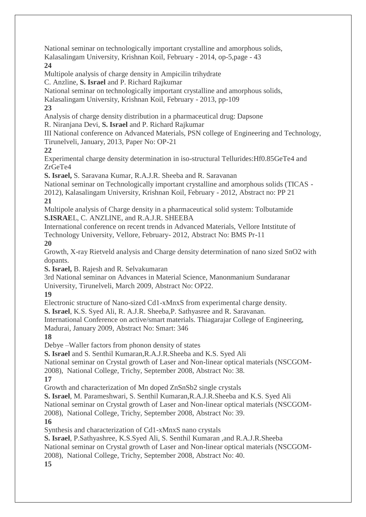National seminar on technologically important crystalline and amorphous solids, Kalasalingam University, Krishnan Koil, February - 2014, op-5,page - 43

## **24**

Multipole analysis of charge density in Ampicilin trihydrate

C. Anzline, **S. Israel** and P. Richard Rajkumar

National seminar on technologically important crystalline and amorphous solids,

Kalasalingam University, Krishnan Koil, February - 2013, pp-109

# **23**

Analysis of charge density distribution in a pharmaceutical drug: Dapsone R. Niranjana Devi, **S. Israel** and P. Richard Rajkumar

III National conference on Advanced Materials, PSN college of Engineering and Technology, Tirunelveli, January, 2013, Paper No: OP-21

**22**

Experimental charge density determination in iso-structural Tellurides:Hf0.85GeTe4 and ZrGeTe4

**S. Israel,** S. Saravana Kumar, R.A.J.R. Sheeba and R. Saravanan

National seminar on Technologically important crystalline and amorphous solids (TICAS -

2012), Kalasalingam University, Krishnan Koil, February - 2012, Abstract no: PP 21 **21**

Multipole analysis of Charge density in a pharmaceutical solid system: Tolbutamide **S.ISRAE**L, C. ANZLINE, and R.A.J.R. SHEEBA

International conference on recent trends in Advanced Materials, Vellore Intstitute of Technology University, Vellore, February- 2012, Abstract No: BMS Pr-11

**20**

Growth, X-ray Rietveld analysis and Charge density determination of nano sized SnO2 with dopants.

**S. Israel,** B. Rajesh and R. Selvakumaran

3rd National seminar on Advances in Material Science, Manonmanium Sundaranar University, Tirunelveli, March 2009, Abstract No: OP22.

**19**

Electronic structure of Nano-sized Cd1-xMnxS from experimental charge density.

**S. Israel**, K.S. Syed Ali, R. A.J.R. Sheeba,P. Sathyasree and R. Saravanan.

International Conference on active/smart materials. Thiagarajar College of Engineering,

Madurai, January 2009, Abstract No: Smart: 346

# **18**

Debye –Waller factors from phonon density of states

**S. Israel** and S. Senthil Kumaran,R.A.J.R.Sheeba and K.S. Syed Ali

National seminar on Crystal growth of Laser and Non-linear optical materials (NSCGOM-

2008), National College, Trichy, September 2008, Abstract No: 38.

**17**

Growth and characterization of Mn doped ZnSnSb2 single crystals

**S. Israel**, M. Parameshwari, S. Senthil Kumaran,R.A.J.R.Sheeba and K.S. Syed Ali

National seminar on Crystal growth of Laser and Non-linear optical materials (NSCGOM-

2008), National College, Trichy, September 2008, Abstract No: 39.

# **16**

Synthesis and characterization of Cd1-xMnxS nano crystals

**S. Israel**, P.Sathyashree, K.S.Syed Ali, S. Senthil Kumaran ,and R.A.J.R.Sheeba

National seminar on Crystal growth of Laser and Non-linear optical materials (NSCGOM-

2008), National College, Trichy, September 2008, Abstract No: 40.

**15**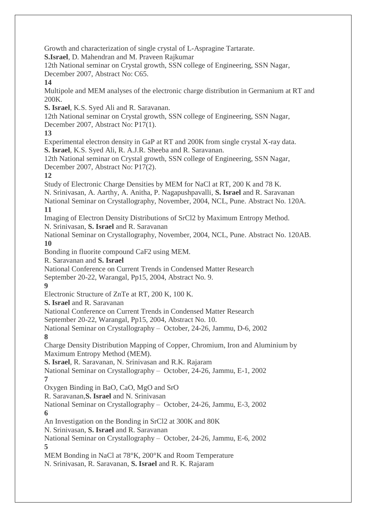Growth and characterization of single crystal of L-Aspragine Tartarate.

**S.Israel**, D. Mahendran and M. Praveen Rajkumar

12th National seminar on Crystal growth, SSN college of Engineering, SSN Nagar,

December 2007, Abstract No: C65.

## **14**

Multipole and MEM analyses of the electronic charge distribution in Germanium at RT and 200K.

**S. Israel**, K.S. Syed Ali and R. Saravanan.

12th National seminar on Crystal growth, SSN college of Engineering, SSN Nagar, December 2007, Abstract No: P17(1).

# **13**

Experimental electron density in GaP at RT and 200K from single crystal X-ray data. **S. Israel**, K.S. Syed Ali, R. A.J.R. Sheeba and R. Saravanan.

12th National seminar on Crystal growth, SSN college of Engineering, SSN Nagar, December 2007, Abstract No: P17(2).

# **12**

Study of Electronic Charge Densities by MEM for NaCl at RT, 200 K and 78 K.

N. Srinivasan, A. Aarthy, A. Anitha, P. Nagapushpavalli, **S. Israel** and R. Saravanan

National Seminar on Crystallography, November, 2004, NCL, Pune. Abstract No. 120A. **11**

Imaging of Electron Density Distributions of SrCl2 by Maximum Entropy Method. N. Srinivasan, **S. Israel** and R. Saravanan

National Seminar on Crystallography, November, 2004, NCL, Pune. Abstract No. 120AB. **10**

Bonding in fluorite compound CaF2 using MEM.

R. Saravanan and **S. Israel**

National Conference on Current Trends in Condensed Matter Research

September 20-22, Warangal, Pp15, 2004, Abstract No. 9.

# **9**

Electronic Structure of ZnTe at RT, 200 K, 100 K.

**S. Israel** and R. Saravanan

National Conference on Current Trends in Condensed Matter Research

September 20-22, Warangal, Pp15, 2004, Abstract No. 10.

National Seminar on Crystallography – October, 24-26, Jammu, D-6, 2002 **8**

Charge Density Distribution Mapping of Copper, Chromium, Iron and Aluminium by Maximum Entropy Method (MEM).

**S. Israel**, R. Saravanan, N. Srinivasan and R.K. Rajaram

National Seminar on Crystallography – October, 24-26, Jammu, E-1, 2002 **7**

Oxygen Binding in BaO, CaO, MgO and SrO

R. Saravanan,**S. Israel** and N. Srinivasan

National Seminar on Crystallography – October, 24-26, Jammu, E-3, 2002

**6**

An Investigation on the Bonding in SrCl2 at 300K and 80K

N. Srinivasan, **S. Israel** and R. Saravanan

National Seminar on Crystallography – October, 24-26, Jammu, E-6, 2002 **5**

MEM Bonding in NaCl at 78°K, 200°K and Room Temperature

N. Srinivasan, R. Saravanan, **S. Israel** and R. K. Rajaram